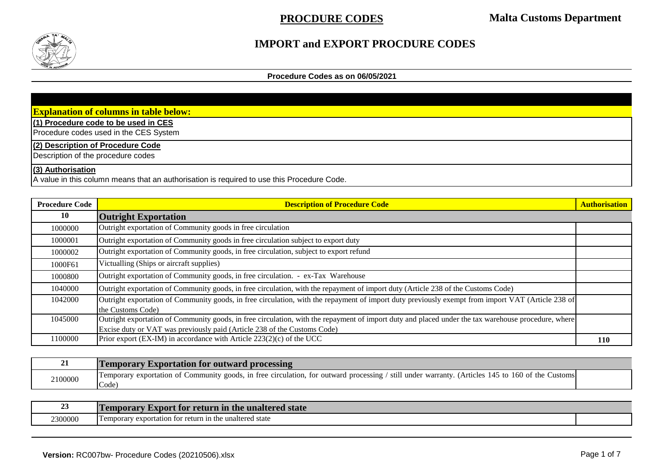

### **IMPORT and EXPORT PROCDURE CODES**

### **Procedure Codes as on 06/05/2021**

| <b>Explanation of columns in table below:</b>                                              |
|--------------------------------------------------------------------------------------------|
| (1) Procedure code to be used in CES                                                       |
| Procedure codes used in the CES System                                                     |
| (2) Description of Procedure Code                                                          |
| Description of the procedure codes                                                         |
| $(3)$ Authorisation                                                                        |
| A value in this column means that an authorisation is required to use this Procedure Code. |

| <b>Procedure Code</b> | <b>Description of Procedure Code</b>                                                                                                                                                                                            | <b>Authorisation</b> |
|-----------------------|---------------------------------------------------------------------------------------------------------------------------------------------------------------------------------------------------------------------------------|----------------------|
| 10                    | <b>Outright Exportation</b>                                                                                                                                                                                                     |                      |
| 1000000               | Outright exportation of Community goods in free circulation                                                                                                                                                                     |                      |
| 1000001               | Outright exportation of Community goods in free circulation subject to export duty                                                                                                                                              |                      |
| 1000002               | Outright exportation of Community goods, in free circulation, subject to export refund                                                                                                                                          |                      |
| 1000F61               | Victualling (Ships or aircraft supplies)                                                                                                                                                                                        |                      |
| 1000800               | Outright exportation of Community goods, in free circulation. - ex-Tax Warehouse                                                                                                                                                |                      |
| 1040000               | Outright exportation of Community goods, in free circulation, with the repayment of import duty (Article 238 of the Customs Code)                                                                                               |                      |
| 1042000               | Outright exportation of Community goods, in free circulation, with the repayment of import duty previously exempt from import VAT (Article 238 of<br>the Customs Code)                                                          |                      |
| 1045000               | Outright exportation of Community goods, in free circulation, with the repayment of import duty and placed under the tax warehouse procedure, where<br>Excise duty or VAT was previously paid (Article 238 of the Customs Code) |                      |
| 1100000               | Prior export (EX-IM) in accordance with Article $223(2)(c)$ of the UCC                                                                                                                                                          | <b>110</b>           |

| $\angle L$ | <b>Temporary Exportation for outward processing</b>                                                                                                                               |  |
|------------|-----------------------------------------------------------------------------------------------------------------------------------------------------------------------------------|--|
| 2100000    | / still under warranty. (Articles 145 to 160 of the<br>y goods, in free circulation, for outward processing /<br>• CustomsI<br><b>Temporary exportation of Community</b><br>Code) |  |

| ້       | m<br>e unaltered state<br>t for return in t<br>Axnort.<br>n a ma mti<br>T.NG |  |
|---------|------------------------------------------------------------------------------|--|
| 2300000 | unaltered state<br>in the<br>1 emporary<br>exportation<br>tor                |  |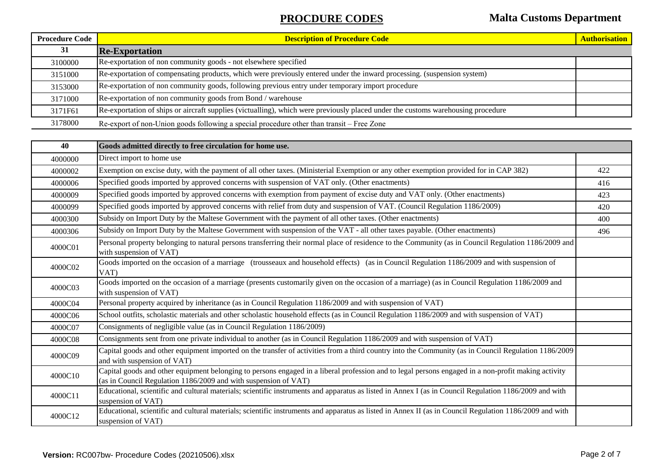| <b>Procedure Code</b> | <b>Description of Procedure Code</b>                                                                                             | <b>Authorisation</b> |
|-----------------------|----------------------------------------------------------------------------------------------------------------------------------|----------------------|
| 31                    | <b>Re-Exportation</b>                                                                                                            |                      |
| 3100000               | Re-exportation of non community goods - not elsewhere specified                                                                  |                      |
| 3151000               | Re-exportation of compensating products, which were previously entered under the inward processing. (suspension system)          |                      |
| 3153000               | Re-exportation of non community goods, following previous entry under temporary import procedure                                 |                      |
| 3171000               | Re-exportation of non community goods from Bond / warehouse                                                                      |                      |
| 3171F61               | Re-exportation of ships or aircraft supplies (victualling), which were previously placed under the customs warehousing procedure |                      |
| 3178000               | Re-export of non-Union goods following a special procedure other than transit - Free Zone                                        |                      |

| 40      | Goods admitted directly to free circulation for home use.                                                                                                                                                              |     |
|---------|------------------------------------------------------------------------------------------------------------------------------------------------------------------------------------------------------------------------|-----|
| 4000000 | Direct import to home use                                                                                                                                                                                              |     |
| 4000002 | Exemption on excise duty, with the payment of all other taxes. (Ministerial Exemption or any other exemption provided for in CAP 382)                                                                                  | 422 |
| 4000006 | Specified goods imported by approved concerns with suspension of VAT only. (Other enactments)                                                                                                                          | 416 |
| 4000009 | Specified goods imported by approved concerns with exemption from payment of excise duty and VAT only. (Other enactments)                                                                                              | 423 |
| 4000099 | Specified goods imported by approved concerns with relief from duty and suspension of VAT. (Council Regulation 1186/2009)                                                                                              | 420 |
| 4000300 | Subsidy on Import Duty by the Maltese Government with the payment of all other taxes. (Other enactments)                                                                                                               | 400 |
| 4000306 | Subsidy on Import Duty by the Maltese Government with suspension of the VAT - all other taxes payable. (Other enactments)                                                                                              | 496 |
| 4000C01 | Personal property belonging to natural persons transferring their normal place of residence to the Community (as in Council Regulation 1186/2009 and<br>with suspension of VAT)                                        |     |
| 4000C02 | Goods imported on the occasion of a marriage (trousseaux and household effects) (as in Council Regulation 1186/2009 and with suspension of<br>VAT)                                                                     |     |
| 4000C03 | Goods imported on the occasion of a marriage (presents customarily given on the occasion of a marriage) (as in Council Regulation 1186/2009 and<br>with suspension of VAT)                                             |     |
| 4000C04 | Personal property acquired by inheritance (as in Council Regulation 1186/2009 and with suspension of VAT)                                                                                                              |     |
| 4000C06 | School outfits, scholastic materials and other scholastic household effects (as in Council Regulation 1186/2009 and with suspension of VAT)                                                                            |     |
| 4000C07 | Consignments of negligible value (as in Council Regulation 1186/2009)                                                                                                                                                  |     |
| 4000C08 | Consignments sent from one private individual to another (as in Council Regulation 1186/2009 and with suspension of VAT)                                                                                               |     |
| 4000C09 | Capital goods and other equipment imported on the transfer of activities from a third country into the Community (as in Council Regulation 1186/2009<br>and with suspension of VAT)                                    |     |
| 4000C10 | Capital goods and other equipment belonging to persons engaged in a liberal profession and to legal persons engaged in a non-profit making activity<br>(as in Council Regulation 1186/2009 and with suspension of VAT) |     |
| 4000C11 | Educational, scientific and cultural materials; scientific instruments and apparatus as listed in Annex I (as in Council Regulation 1186/2009 and with<br>suspension of VAT)                                           |     |
| 4000C12 | Educational, scientific and cultural materials; scientific instruments and apparatus as listed in Annex II (as in Council Regulation 1186/2009 and with<br>suspension of VAT)                                          |     |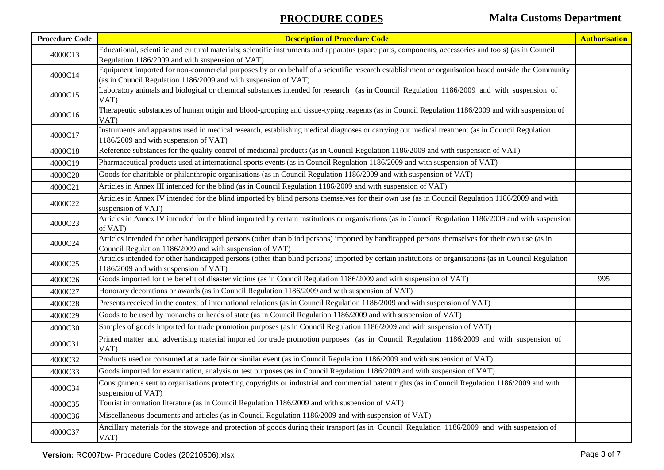| <b>Procedure Code</b> | <b>Description of Procedure Code</b>                                                                                                                                                                                 | <b>Authorisation</b> |
|-----------------------|----------------------------------------------------------------------------------------------------------------------------------------------------------------------------------------------------------------------|----------------------|
| 4000C13               | Educational, scientific and cultural materials; scientific instruments and apparatus (spare parts, components, accessories and tools) (as in Council<br>Regulation 1186/2009 and with suspension of VAT)             |                      |
| 4000C14               | Equipment imported for non-commercial purposes by or on behalf of a scientific research establishment or organisation based outside the Community<br>(as in Council Regulation 1186/2009 and with suspension of VAT) |                      |
| 4000C15               | Laboratory animals and biological or chemical substances intended for research (as in Council Regulation 1186/2009 and with suspension of<br>VAT)                                                                    |                      |
| 4000C16               | Therapeutic substances of human origin and blood-grouping and tissue-typing reagents (as in Council Regulation 1186/2009 and with suspension of<br>VAT)                                                              |                      |
| 4000C17               | Instruments and apparatus used in medical research, establishing medical diagnoses or carrying out medical treatment (as in Council Regulation<br>1186/2009 and with suspension of VAT)                              |                      |
| 4000C18               | Reference substances for the quality control of medicinal products (as in Council Regulation 1186/2009 and with suspension of VAT)                                                                                   |                      |
| 4000C19               | Pharmaceutical products used at international sports events (as in Council Regulation 1186/2009 and with suspension of VAT)                                                                                          |                      |
| 4000C20               | Goods for charitable or philanthropic organisations (as in Council Regulation 1186/2009 and with suspension of VAT)                                                                                                  |                      |
| 4000C21               | Articles in Annex III intended for the blind (as in Council Regulation 1186/2009 and with suspension of VAT)                                                                                                         |                      |
| 4000C22               | Articles in Annex IV intended for the blind imported by blind persons themselves for their own use (as in Council Regulation 1186/2009 and with<br>suspension of VAT)                                                |                      |
| 4000C23               | Articles in Annex IV intended for the blind imported by certain institutions or organisations (as in Council Regulation 1186/2009 and with suspension<br>of VAT)                                                     |                      |
| 4000C24               | Articles intended for other handicapped persons (other than blind persons) imported by handicapped persons themselves for their own use (as in<br>Council Regulation 1186/2009 and with suspension of VAT)           |                      |
| 4000C25               | Articles intended for other handicapped persons (other than blind persons) imported by certain institutions or organisations (as in Council Regulation<br>1186/2009 and with suspension of VAT)                      |                      |
| 4000C26               | Goods imported for the benefit of disaster victims (as in Council Regulation 1186/2009 and with suspension of VAT)                                                                                                   | 995                  |
| 4000C27               | Honorary decorations or awards (as in Council Regulation 1186/2009 and with suspension of VAT)                                                                                                                       |                      |
| 4000C28               | Presents received in the context of international relations (as in Council Regulation 1186/2009 and with suspension of VAT)                                                                                          |                      |
| 4000C29               | Goods to be used by monarchs or heads of state (as in Council Regulation 1186/2009 and with suspension of VAT)                                                                                                       |                      |
| 4000C30               | Samples of goods imported for trade promotion purposes (as in Council Regulation 1186/2009 and with suspension of VAT)                                                                                               |                      |
| 4000C31               | Printed matter and advertising material imported for trade promotion purposes (as in Council Regulation 1186/2009 and with suspension of<br>VAT)                                                                     |                      |
| 4000C32               | Products used or consumed at a trade fair or similar event (as in Council Regulation 1186/2009 and with suspension of VAT)                                                                                           |                      |
| 4000C33               | Goods imported for examination, analysis or test purposes (as in Council Regulation 1186/2009 and with suspension of VAT)                                                                                            |                      |
| 4000C34               | Consignments sent to organisations protecting copyrights or industrial and commercial patent rights (as in Council Regulation 1186/2009 and with<br>suspension of VAT)                                               |                      |
| 4000C35               | Tourist information literature (as in Council Regulation 1186/2009 and with suspension of VAT)                                                                                                                       |                      |
| 4000C36               | Miscellaneous documents and articles (as in Council Regulation 1186/2009 and with suspension of VAT)                                                                                                                 |                      |
| 4000C37               | Ancillary materials for the stowage and protection of goods during their transport (as in Council Regulation 1186/2009 and with suspension of<br>VAT)                                                                |                      |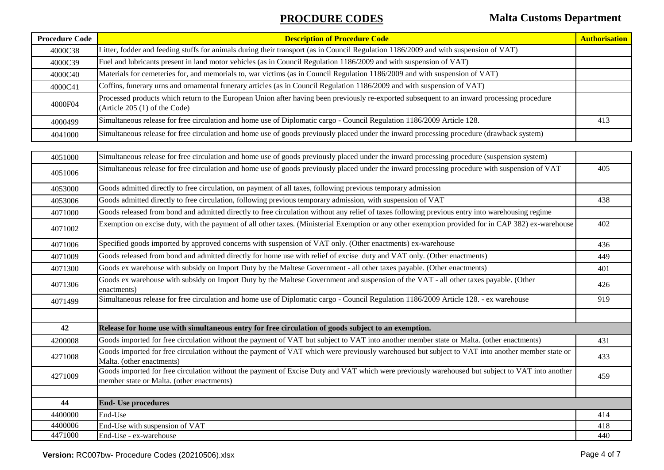| <b>Procedure Code</b> | <b>Description of Procedure Code</b>                                                                                                                                                         | <b>Authorisation</b> |
|-----------------------|----------------------------------------------------------------------------------------------------------------------------------------------------------------------------------------------|----------------------|
| 4000C38               | Litter, fodder and feeding stuffs for animals during their transport (as in Council Regulation 1186/2009 and with suspension of VAT)                                                         |                      |
| 4000C39               | Fuel and lubricants present in land motor vehicles (as in Council Regulation 1186/2009 and with suspension of VAT)                                                                           |                      |
| 4000C40               | Materials for cemeteries for, and memorials to, war victims (as in Council Regulation 1186/2009 and with suspension of VAT)                                                                  |                      |
| 4000C41               | Coffins, funerary urns and ornamental funerary articles (as in Council Regulation 1186/2009 and with suspension of VAT)                                                                      |                      |
| 4000F04               | Processed products which return to the European Union after having been previously re-exported subsequent to an inward processing procedure<br>(Article 205 (1) of the Code)                 |                      |
| 4000499               | Simultaneous release for free circulation and home use of Diplomatic cargo - Council Regulation 1186/2009 Article 128.                                                                       | 413                  |
| 4041000               | Simultaneous release for free circulation and home use of goods previously placed under the inward processing procedure (drawback system)                                                    |                      |
|                       |                                                                                                                                                                                              |                      |
| 4051000               | Simultaneous release for free circulation and home use of goods previously placed under the inward processing procedure (suspension system)                                                  |                      |
| 4051006               | Simultaneous release for free circulation and home use of goods previously placed under the inward processing procedure with suspension of VAT                                               | 405                  |
| 4053000               | Goods admitted directly to free circulation, on payment of all taxes, following previous temporary admission                                                                                 |                      |
| 4053006               | Goods admitted directly to free circulation, following previous temporary admission, with suspension of VAT                                                                                  | 438                  |
| 4071000               | Goods released from bond and admitted directly to free circulation without any relief of taxes following previous entry into warehousing regime                                              |                      |
| 4071002               | Exemption on excise duty, with the payment of all other taxes. (Ministerial Exemption or any other exemption provided for in CAP 382) ex-warehouse                                           | 402                  |
| 4071006               | Specified goods imported by approved concerns with suspension of VAT only. (Other enactments) ex-warehouse                                                                                   | 436                  |
| 4071009               | Goods released from bond and admitted directly for home use with relief of excise duty and VAT only. (Other enactments)                                                                      | 449                  |
| 4071300               | Goods ex warehouse with subsidy on Import Duty by the Maltese Government - all other taxes payable. (Other enactments)                                                                       | 401                  |
| 4071306               | Goods ex warehouse with subsidy on Import Duty by the Maltese Government and suspension of the VAT - all other taxes payable. (Other<br>enactments)                                          | 426                  |
| 4071499               | Simultaneous release for free circulation and home use of Diplomatic cargo - Council Regulation 1186/2009 Article 128. - ex warehouse                                                        | 919                  |
|                       |                                                                                                                                                                                              |                      |
| 42                    | Release for home use with simultaneous entry for free circulation of goods subject to an exemption.                                                                                          |                      |
| 4200008               | Goods imported for free circulation without the payment of VAT but subject to VAT into another member state or Malta. (other enactments)                                                     | 431                  |
| 4271008               | Goods imported for free circulation without the payment of VAT which were previously warehoused but subject to VAT into another member state or<br>Malta. (other enactments)                 | 433                  |
| 4271009               | Goods imported for free circulation without the payment of Excise Duty and VAT which were previously warehoused but subject to VAT into another<br>member state or Malta. (other enactments) | 459                  |
|                       |                                                                                                                                                                                              |                      |
| 44                    | <b>End- Use procedures</b>                                                                                                                                                                   |                      |
| 4400000               | End-Use                                                                                                                                                                                      | 414                  |
| 4400006               | End-Use with suspension of VAT                                                                                                                                                               | 418                  |
| 4471000               | End-Use - ex-warehouse                                                                                                                                                                       | 440                  |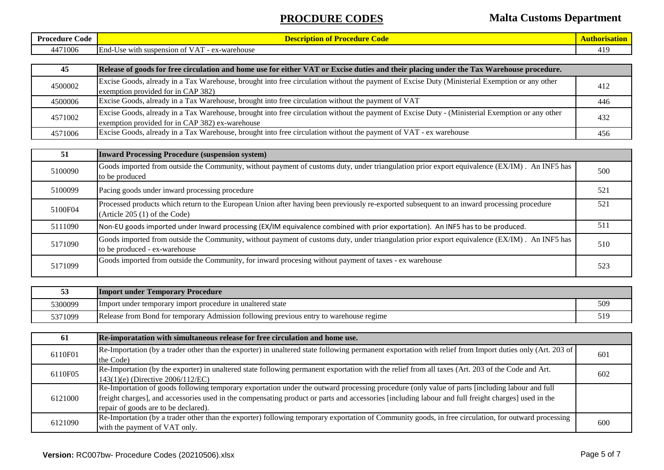# **PROCDURE CODES Malta Customs Department**

| Proc<br>Code<br>cedure | ode<br>' Procedure<br>n or<br>шш                                                                                                                   | chorisation<br>. |
|------------------------|----------------------------------------------------------------------------------------------------------------------------------------------------|------------------|
| 471006<br>44           | . <del>.</del> .<br>End-<br>ex-warehouse<br>suspension of Y<br>-Use with<br>$\mathcal{N}$<br>$ \mathbf{A} \mathbf{v}$<br>$\mathbf{v}_{\mathbf{A}}$ | l 1 C<br>ъ.      |

| 45      | Release of goods for free circulation and home use for either VAT or Excise duties and their placing under the Tax Warehouse procedure.                                                             |     |
|---------|-----------------------------------------------------------------------------------------------------------------------------------------------------------------------------------------------------|-----|
| 4500002 | Excise Goods, already in a Tax Warehouse, brought into free circulation without the payment of Excise Duty (Ministerial Exemption or any other<br>exemption provided for in CAP 382)                | 412 |
| 4500006 | Excise Goods, already in a Tax Warehouse, brought into free circulation without the payment of VAT                                                                                                  | 446 |
| 4571002 | Excise Goods, already in a Tax Warehouse, brought into free circulation without the payment of Excise Duty - (Ministerial Exemption or any other<br>exemption provided for in CAP 382) ex-warehouse | 432 |
| 4571006 | Excise Goods, already in a Tax Warehouse, brought into free circulation without the payment of VAT - ex warehouse                                                                                   | 456 |

| 51      | <b>Inward Processing Procedure (suspension system)</b>                                                                                                                         |     |
|---------|--------------------------------------------------------------------------------------------------------------------------------------------------------------------------------|-----|
| 5100090 | Goods imported from outside the Community, without payment of customs duty, under triangulation prior export equivalence (EX/IM). An INF5 has<br>to be produced                | 500 |
| 5100099 | Pacing goods under inward processing procedure                                                                                                                                 | 521 |
| 5100F04 | Processed products which return to the European Union after having been previously re-exported subsequent to an inward processing procedure<br>(Article $205(1)$ of the Code)  | 521 |
| 5111090 | Non-EU goods imported under Inward processing (EX/IM equivalence combined with prior exportation). An INF5 has to be produced.                                                 | 511 |
| 5171090 | Goods imported from outside the Community, without payment of customs duty, under triangulation prior export equivalence (EX/IM). An INF5 has<br>to be produced - ex-warehouse | 510 |
| 5171099 | Goods imported from outside the Community, for inward procesing without payment of taxes - ex warehouse                                                                        | 523 |

| 53      | <b>Import under Temporary Procedure</b>                                                |  |
|---------|----------------------------------------------------------------------------------------|--|
| 5300099 | Import under temporary import procedure in unaltered state                             |  |
| 5371099 | Release from Bond for temporary Admission following previous entry to warehouse regime |  |

| 61      | Re-imporatation with simultaneous release for free circulation and home use.                                                                             |     |
|---------|----------------------------------------------------------------------------------------------------------------------------------------------------------|-----|
| 6110F01 | Re-Importation (by a trader other than the exporter) in unaltered state following permanent exportation with relief from Import duties only (Art. 203 of | 601 |
|         | the Code)                                                                                                                                                |     |
| 6110F05 | Re-Importation (by the exporter) in unaltered state following permanent exportation with the relief from all taxes (Art. 203 of the Code and Art.        | 602 |
|         | 143(1)(e) (Directive 2006/112/EC)                                                                                                                        |     |
| 6121000 | Re-Importation of goods following temporary exportation under the outward processing procedure (only value of parts [including labour and full           |     |
|         | freight charges], and accessories used in the compensating product or parts and accessories [including labour and full freight charges] used in the      |     |
|         | repair of goods are to be declared).                                                                                                                     |     |
| 6121090 | Re-Importation (by a trader other than the exporter) following temporary exportation of Community goods, in free circulation, for outward processing     |     |
|         | with the payment of VAT only.                                                                                                                            | 600 |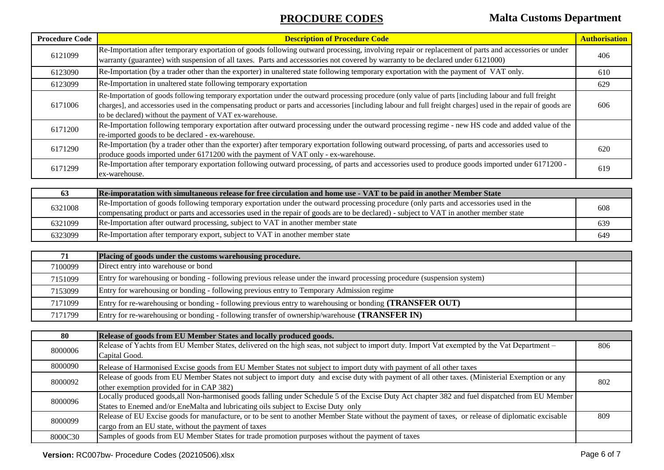# **PROCDURE CODES Malta Customs Department**

| <b>Procedure Code</b> | <b>Description of Procedure Code</b>                                                                                                                                                                                                                                                                                                                                                  | <b>Authorisation</b> |
|-----------------------|---------------------------------------------------------------------------------------------------------------------------------------------------------------------------------------------------------------------------------------------------------------------------------------------------------------------------------------------------------------------------------------|----------------------|
| 6121099               | Re-Importation after temporary exportation of goods following outward processing, involving repair or replacement of parts and accessories or under<br>warranty (guarantee) with suspension of all taxes. Parts and accesssories not covered by warranty to be declared under 6121000)                                                                                                | 406                  |
| 6123090               | Re-Importation (by a trader other than the exporter) in unaltered state following temporary exportation with the payment of VAT only.                                                                                                                                                                                                                                                 | 610                  |
| 6123099               | Re-Importation in unaltered state following temporary exportation                                                                                                                                                                                                                                                                                                                     | 629                  |
| 6171006               | Re-Importation of goods following temporary exportation under the outward processing procedure (only value of parts [including labour and full freight<br>charges], and accessories used in the compensating product or parts and accessories [including labour and full freight charges] used in the repair of goods are<br>to be declared) without the payment of VAT ex-warehouse. | 606                  |
| 6171200               | Re-Importation following temporary exportation after outward processing under the outward processing regime - new HS code and added value of the<br>re-imported goods to be declared - ex-warehouse.                                                                                                                                                                                  |                      |
| 6171290               | Re-Importation (by a trader other than the exporter) after temporary exportation following outward processing, of parts and accessories used to<br>produce goods imported under 6171200 with the payment of VAT only - ex-warehouse.                                                                                                                                                  | 620                  |
| 6171299               | Re-Importation after temporary exportation following outward processing, of parts and accessories used to produce goods imported under 6171200 -<br>ex-warehouse.                                                                                                                                                                                                                     | 619                  |

| 63      | Re-imporatation with simultaneous release for free circulation and home use - VAT to be paid in another Member State                   |     |
|---------|----------------------------------------------------------------------------------------------------------------------------------------|-----|
| 6321008 | Re-Importation of goods following temporary exportation under the outward processing procedure (only parts and accessories used in the | 608 |
|         | compensating product or parts and accessories used in the repair of goods are to be declared) - subject to VAT in another member state |     |
| 6321099 | Re-Importation after outward processing, subject to VAT in another member state                                                        | 639 |
| 6323099 | Re-Importation after temporary export, subject to VAT in another member state                                                          | 649 |

| 71      | Placing of goods under the customs warehousing procedure.                                                               |  |
|---------|-------------------------------------------------------------------------------------------------------------------------|--|
| 7100099 | Direct entry into warehouse or bond                                                                                     |  |
| 7151099 | Entry for warehousing or bonding - following previous release under the inward processing procedure (suspension system) |  |
| 7153099 | Entry for warehousing or bonding - following previous entry to Temporary Admission regime                               |  |
| 7171099 | Entry for re-warehousing or bonding - following previous entry to warehousing or bonding ( <b>TRANSFER OUT</b> )        |  |
| 7171799 | Entry for re-warehousing or bonding - following transfer of ownership/warehouse ( <b>TRANSFER IN</b> )                  |  |

| 80      | Release of goods from EU Member States and locally produced goods.                                                                                 |     |
|---------|----------------------------------------------------------------------------------------------------------------------------------------------------|-----|
| 8000006 | Release of Yachts from EU Member States, delivered on the high seas, not subject to import duty. Import Vat exempted by the Vat Department –       | 806 |
|         | Capital Good.                                                                                                                                      |     |
| 8000090 | Release of Harmonised Excise goods from EU Member States not subject to import duty with payment of all other taxes                                |     |
| 8000092 | Release of goods from EU Member States not subject to import duty and excise duty with payment of all other taxes. (Ministerial Exemption or any   | 802 |
|         | other exemption provided for in CAP 382)                                                                                                           |     |
| 8000096 | Locally produced goods, all Non-harmonised goods falling under Schedule 5 of the Excise Duty Act chapter 382 and fuel dispatched from EU Member    |     |
|         | States to Enemed and/or EneMalta and lubricating oils subject to Excise Duty only                                                                  |     |
| 8000099 | Release of EU Excise goods for manufacture, or to be sent to another Member State without the payment of taxes, or release of diplomatic excisable | 809 |
|         | cargo from an EU state, without the payment of taxes                                                                                               |     |
| 8000C30 | Samples of goods from EU Member States for trade promotion purposes without the payment of taxes                                                   |     |

### **Version:** RC007bw- Procedure Codes (20210506).xlsx Page 6 of 7